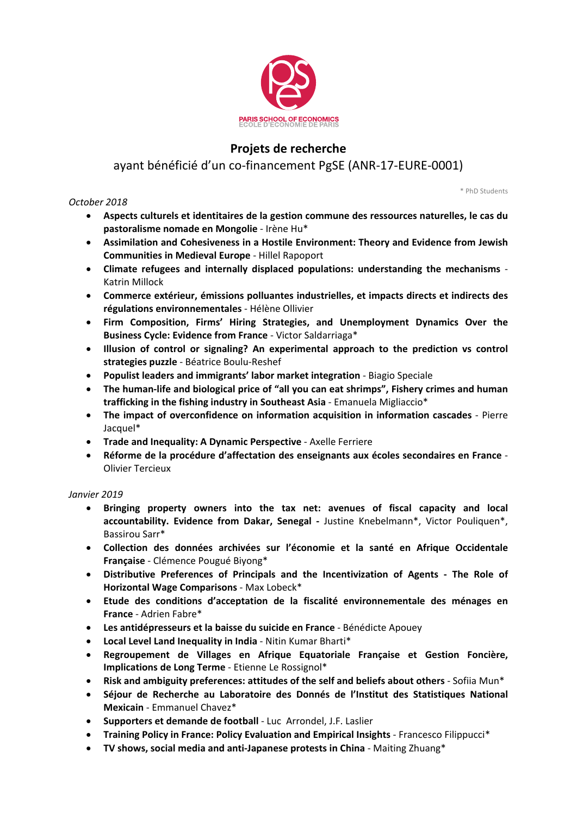

## **Projets de recherche**

## ayant bénéficié d'un co‐financement PgSE (ANR‐17‐EURE‐0001)

*October 2018*

\* PhD Students

- **Aspects culturels et identitaires de la gestion commune des ressources naturelles, le cas du pastoralisme nomade en Mongolie** ‐ Irène Hu\*
- **Assimilation and Cohesiveness in a Hostile Environment: Theory and Evidence from Jewish Communities in Medieval Europe** ‐ Hillel Rapoport
- **Climate refugees and internally displaced populations: understanding the mechanisms** ‐ Katrin Millock
- **Commerce extérieur, émissions polluantes industrielles, et impacts directs et indirects des régulations environnementales** ‐ Hélène Ollivier
- **Firm Composition, Firms' Hiring Strategies, and Unemployment Dynamics Over the Business Cycle: Evidence from France** ‐ Victor Saldarriaga\*
- **Illusion of control or signaling? An experimental approach to the prediction vs control strategies puzzle** ‐ Béatrice Boulu‐Reshef
- **Populist leaders and immigrants' labor market integration** ‐ Biagio Speciale
- **The human‐life and biological price of "all you can eat shrimps", Fishery crimes and human trafficking in the fishing industry in Southeast Asia** ‐ Emanuela Migliaccio\*
- **The impact of overconfidence on information acquisition in information cascades** ‐ Pierre Jacquel\*
- **Trade and Inequality: A Dynamic Perspective** ‐ Axelle Ferriere
- **Réforme de la procédure d'affectation des enseignants aux écoles secondaires en France** ‐ Olivier Tercieux

## *Janvier 2019*

- **Bringing property owners into the tax net: avenues of fiscal capacity and local accountability. Evidence from Dakar, Senegal ‐** Justine Knebelmann\*, Victor Pouliquen\*, Bassirou Sarr\*
- **Collection des données archivées sur l'économie et la santé en Afrique Occidentale Française** ‐ Clémence Pougué Biyong\*
- **Distributive Preferences of Principals and the Incentivization of Agents ‐ The Role of Horizontal Wage Comparisons** ‐ Max Lobeck\*
- **Etude des conditions d'acceptation de la fiscalité environnementale des ménages en France** ‐ Adrien Fabre\*
- **Les antidépresseurs et la baisse du suicide en France** ‐ Bénédicte Apouey
- **Local Level Land Inequality in India** ‐ Nitin Kumar Bharti\*
- **Regroupement de Villages en Afrique Equatoriale Française et Gestion Foncière, Implications de Long Terme** ‐ Etienne Le Rossignol\*
- **Risk and ambiguity preferences: attitudes of the self and beliefs about others** ‐ Sofiia Mun\*
- **Séjour de Recherche au Laboratoire des Donnés de l'Institut des Statistiques National Mexicain** ‐ Emmanuel Chavez\*
- **Supporters et demande de football** ‐ Luc Arrondel, J.F. Laslier
- **Training Policy in France: Policy Evaluation and Empirical Insights** ‐ Francesco Filippucci\*
- **TV shows, social media and anti‐Japanese protests in China** ‐ Maiting Zhuang\*